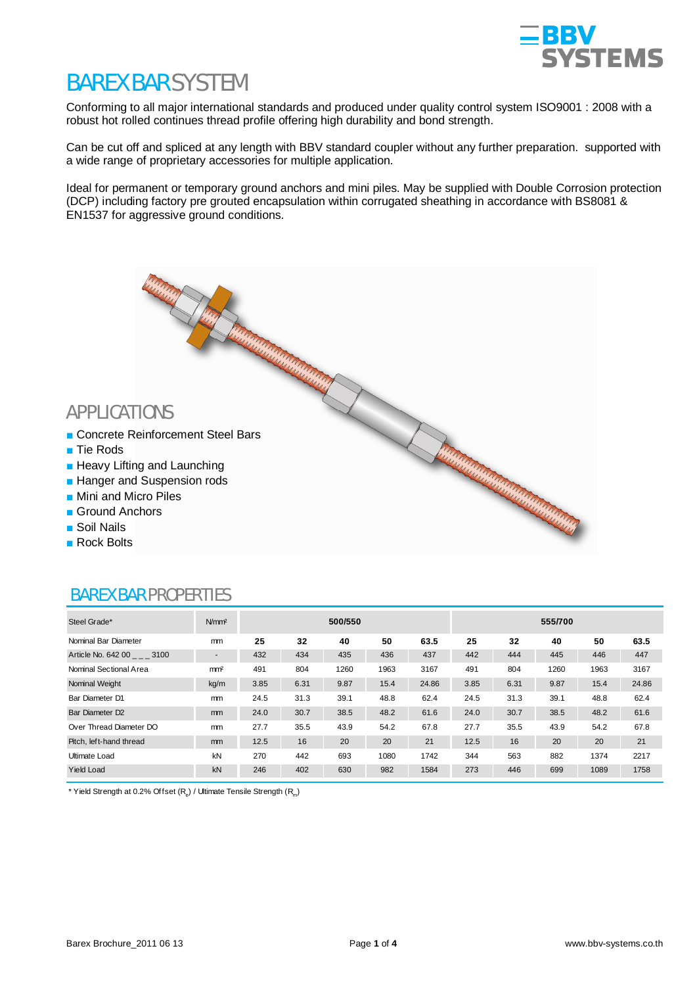

# BAREX BAR SYSTEM

Conforming to all major international standards and produced under quality control system ISO9001 : 2008 with a robust hot rolled continues thread profile offering high durability and bond strength.

Can be cut off and spliced at any length with BBV standard coupler without any further preparation. supported with a wide range of proprietary accessories for multiple application.

Ideal for permanent or temporary ground anchors and mini piles. May be supplied with Double Corrosion protection (DCP) including factory pre grouted encapsulation within corrugated sheathing in accordance with BS8081 & EN1537 for aggressive ground conditions.

- APPLICATIONS<br>
The Reinforcement Steel Bars<br>
The Reinforcement Steel Bars<br>
The Content of Content of Content of Content of Content of Content of Content of Content of Content of Content<br>
The Content of Content of Content of **Concrete Reinforcement Steel Bars**
- $\blacksquare$  Tie Rods
- $\blacksquare$  Heavy Lifting and Launching
- **Hanger and Suspension rods**
- $\blacksquare$  Mini and Micro Piles
- $\blacksquare$  Ground Anchors
- Soil Nails
- **Rock Bolts**

| Steel Grade*                | N/mm <sup>2</sup>          | 500/550 |      |      |      |       | 555/700 |      |      |      |       |
|-----------------------------|----------------------------|---------|------|------|------|-------|---------|------|------|------|-------|
| Nominal Bar Diameter        | mm                         | 25      | 32   | 40   | 50   | 63.5  | 25      | 32   | 40   | 50   | 63.5  |
| Article No. 642 00 3100     | $\overline{\phantom{a}}$   | 432     | 434  | 435  | 436  | 437   | 442     | 444  | 445  | 446  | 447   |
| Nominal Sectional Area      | m <sub>m<sup>2</sup></sub> | 491     | 804  | 1260 | 1963 | 3167  | 491     | 804  | 1260 | 1963 | 3167  |
| Nominal Weight              | kg/m                       | 3.85    | 6.31 | 9.87 | 15.4 | 24.86 | 3.85    | 6.31 | 9.87 | 15.4 | 24.86 |
| Bar Diameter D1             | mm                         | 24.5    | 31.3 | 39.1 | 48.8 | 62.4  | 24.5    | 31.3 | 39.1 | 48.8 | 62.4  |
| Bar Diameter D <sub>2</sub> | mm                         | 24.0    | 30.7 | 38.5 | 48.2 | 61.6  | 24.0    | 30.7 | 38.5 | 48.2 | 61.6  |
| Over Thread Diameter DO     | mm                         | 27.7    | 35.5 | 43.9 | 54.2 | 67.8  | 27.7    | 35.5 | 43.9 | 54.2 | 67.8  |
| Pitch, left-hand thread     | mm                         | 12.5    | 16   | 20   | 20   | 21    | 12.5    | 16   | 20   | 20   | 21    |
| Ultimate Load               | kN                         | 270     | 442  | 693  | 1080 | 1742  | 344     | 563  | 882  | 1374 | 2217  |
| <b>Yield Load</b>           | kN                         | 246     | 402  | 630  | 982  | 1584  | 273     | 446  | 699  | 1089 | 1758  |

### BAREX BAR PROPERTIES

\* Yield Strength at 0.2% Offset ( $R_{\rm e}$ ) / Ultimate Tensile Strength ( $R_{\rm m}$ )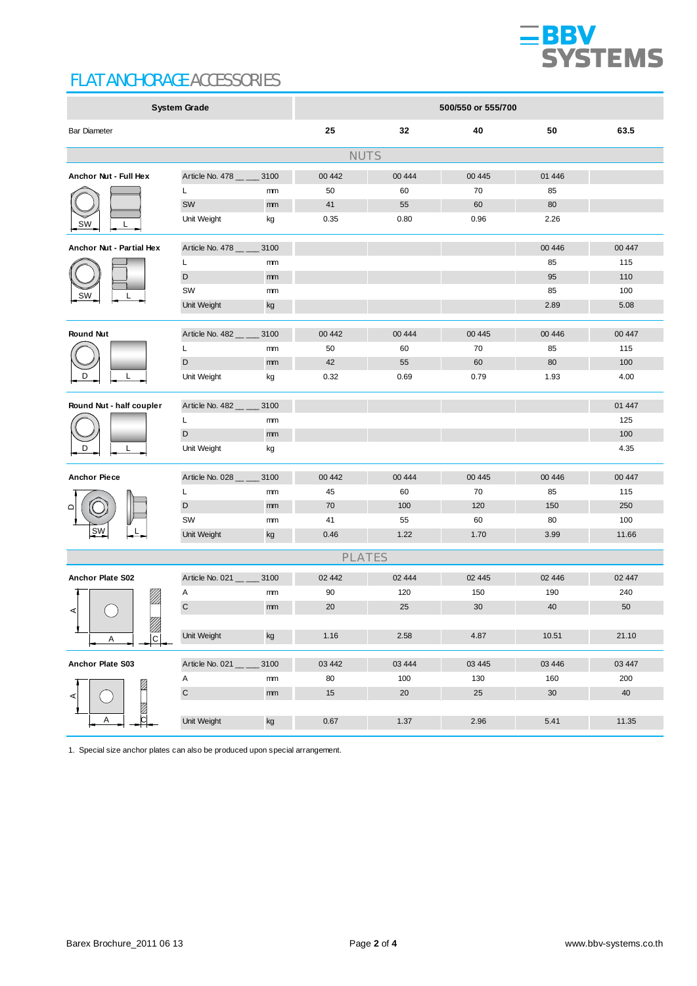

## FLAT ANCHORAGE ACCESSORIES

| <b>System Grade</b>                          |                 |      | 500/550 or 555/700 |        |         |          |        |  |  |
|----------------------------------------------|-----------------|------|--------------------|--------|---------|----------|--------|--|--|
| <b>Bar Diameter</b>                          |                 |      | 25                 | 32     | 40      | 50       | 63.5   |  |  |
| <b>NUTS</b>                                  |                 |      |                    |        |         |          |        |  |  |
| Anchor Nut - Full Hex                        | Article No. 478 | 3100 | 00 442             | 00 444 | 00 4 45 | 01 4 4 6 |        |  |  |
|                                              | L               | mm   | 50                 | 60     | 70      | 85       |        |  |  |
|                                              | SW              | mm   | 41                 | 55     | 60      | 80       |        |  |  |
| <b>SW</b>                                    | Unit Weight     | kg   | 0.35               | 0.80   | 0.96    | 2.26     |        |  |  |
| Anchor Nut - Partial Hex                     | Article No. 478 | 3100 |                    |        |         | 00 4 46  | 00 447 |  |  |
|                                              | Г               | mm   |                    |        |         | 85       | 115    |  |  |
|                                              | $\mathsf D$     | mm   |                    |        |         | 95       | 110    |  |  |
| SW                                           | SW              | mm   |                    |        |         | 85       | 100    |  |  |
|                                              | Unit Weight     | kg   |                    |        |         | 2.89     | 5.08   |  |  |
| <b>Round Nut</b>                             | Article No. 482 | 3100 | 00 442             | 00 444 | 00 4 45 | 00 4 46  | 00 447 |  |  |
|                                              | L               | mm   | 50                 | 60     | 70      | 85       | 115    |  |  |
|                                              | D               | mm   | 42                 | 55     | 60      | 80       | 100    |  |  |
| D                                            | Unit Weight     | kg   | 0.32               | 0.69   | 0.79    | 1.93     | 4.00   |  |  |
| Round Nut - half coupler                     | Article No. 482 | 3100 |                    |        |         |          | 01 447 |  |  |
|                                              | L               | mm   |                    |        |         |          | 125    |  |  |
|                                              | D               | mm   |                    |        |         |          | 100    |  |  |
|                                              | Unit Weight     | kg   |                    |        |         |          | 4.35   |  |  |
| <b>Anchor Piece</b>                          | Article No. 028 | 3100 | 00 442             | 00 444 | 00 4 45 | 00 4 46  | 00 447 |  |  |
|                                              | L               | mm   | 45                 | 60     | 70      | 85       | 115    |  |  |
| $\Omega$                                     | D               | mm   | 70                 | 100    | 120     | 150      | 250    |  |  |
|                                              | SW              | mm   | 41                 | 55     | 60      | 80       | 100    |  |  |
| SW                                           | Unit Weight     | kg   | 0.46               | 1.22   | 1.70    | 3.99     | 11.66  |  |  |
|                                              |                 |      | <b>PLATES</b>      |        |         |          |        |  |  |
| Anchor Plate S02                             | Article No. 021 | 3100 | 02 442             | 02 444 | 02 445  | 02 4 4 6 | 02 447 |  |  |
| !!!                                          | Α               | mm   | 90                 | 120    | 150     | 190      | 240    |  |  |
|                                              | $\mathbf C$     | mm   | 20                 | 25     | 30      | 40       | 50     |  |  |
| $^{\prime\prime\prime}$<br>$\mathbb{Z}$<br>Α | Unit Weight     | kg   | 1.16               | 2.58   | 4.87    | 10.51    | 21.10  |  |  |
|                                              |                 |      |                    |        |         |          |        |  |  |
| Anchor Plate S03                             | Article No. 021 | 3100 | 03 442             | 03 444 | 03 4 45 | 03 4 46  | 03 447 |  |  |
| Ø<br>Ø<br>b<br>Α                             | Α               | mm   | 80                 | 100    | 130     | 160      | 200    |  |  |
|                                              | $\mathsf C$     | mm   | 15                 | 20     | 25      | 30       | 40     |  |  |
|                                              | Unit Weight     | kg   | 0.67               | 1.37   | 2.96    | 5.41     | 11.35  |  |  |

1. Special size anchor plates can also be produced upon special arrangement.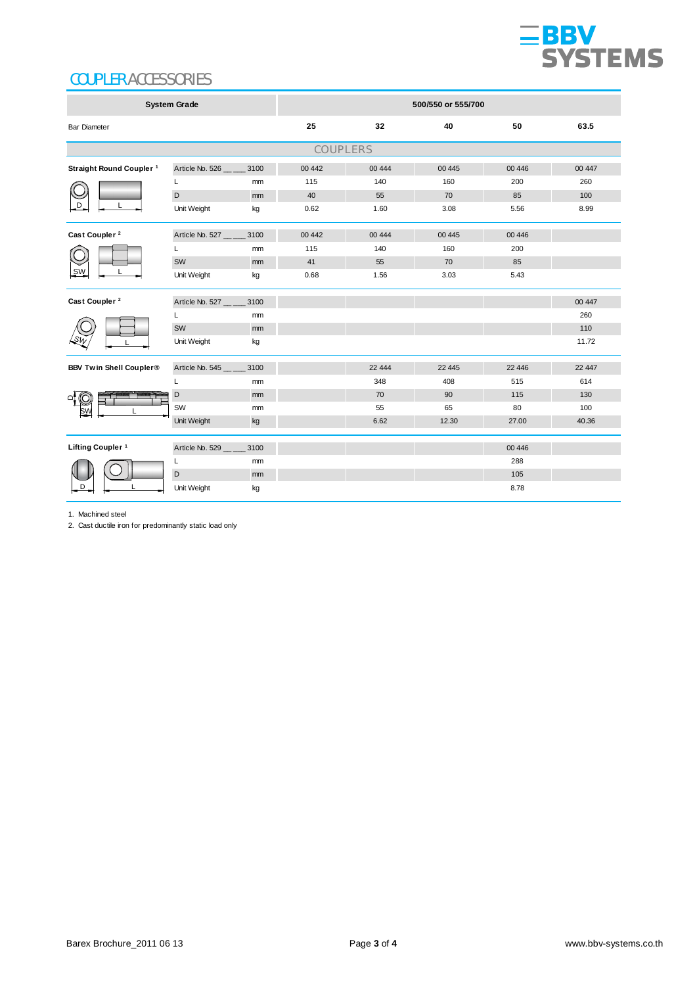

# COUPLER ACCESSORIES

| <b>System Grade</b>                 |                            |               | 500/550 or 555/700 |         |         |          |        |  |  |
|-------------------------------------|----------------------------|---------------|--------------------|---------|---------|----------|--------|--|--|
| <b>Bar Diameter</b>                 |                            |               | 25                 | 32      | 40      | 50       | 63.5   |  |  |
| COUPLERS                            |                            |               |                    |         |         |          |        |  |  |
| Straight Round Coupler <sup>1</sup> | Article No. 526            | 3100          | 00 4 42            | 00 444  | 00 4 45 | 00 4 46  | 00 447 |  |  |
|                                     | L                          | mm            | 115                | 140     | 160     | 200      | 260    |  |  |
|                                     | D                          | mm            | 40                 | 55      | 70      | 85       | 100    |  |  |
| D                                   | Unit Weight                | kg            | 0.62               | 1.60    | 3.08    | 5.56     | 8.99   |  |  |
| Cast Coupler <sup>2</sup>           | Article No. 527            | 3100          | 00 4 42            | 00 444  | 00 4 45 | 00 4 46  |        |  |  |
|                                     | L                          | mm            | 115                | 140     | 160     | 200      |        |  |  |
| SW                                  | SW                         | mm            | 41                 | 55      | 70      | 85       |        |  |  |
|                                     | Unit Weight                | kg            | 0.68               | 1.56    | 3.03    | 5.43     |        |  |  |
| Cast Coupler <sup>2</sup>           | Article No. 527            | 3100          |                    |         |         |          | 00 447 |  |  |
|                                     | L                          | <sub>mm</sub> |                    |         |         |          | 260    |  |  |
|                                     | SW                         | mm            |                    |         |         |          | 110    |  |  |
|                                     | Unit Weight                | kg            |                    |         |         |          | 11.72  |  |  |
| <b>BBV Twin Shell Coupler®</b>      | Article No. 545 __ __ 3100 |               |                    | 22 4 44 | 22 4 45 | 22 4 4 6 | 22 447 |  |  |
|                                     | L                          | mm            |                    | 348     | 408     | 515      | 614    |  |  |
|                                     | D                          | mm            |                    | 70      | 90      | 115      | 130    |  |  |
|                                     | SW                         | mm            |                    | 55      | 65      | 80       | 100    |  |  |
|                                     | Unit Weight                | kg            |                    | 6.62    | 12.30   | 27.00    | 40.36  |  |  |
| Lifting Coupler <sup>1</sup>        | Article No. 529            | 3100          |                    |         |         | 00 4 46  |        |  |  |
| D                                   | L                          | mm            |                    |         |         | 288      |        |  |  |
|                                     | D                          | mm            |                    |         |         | 105      |        |  |  |
|                                     | Unit Weight                | kg            |                    |         |         | 8.78     |        |  |  |

1. Machined steel

2. Cast ductile iron for predominantly static load only